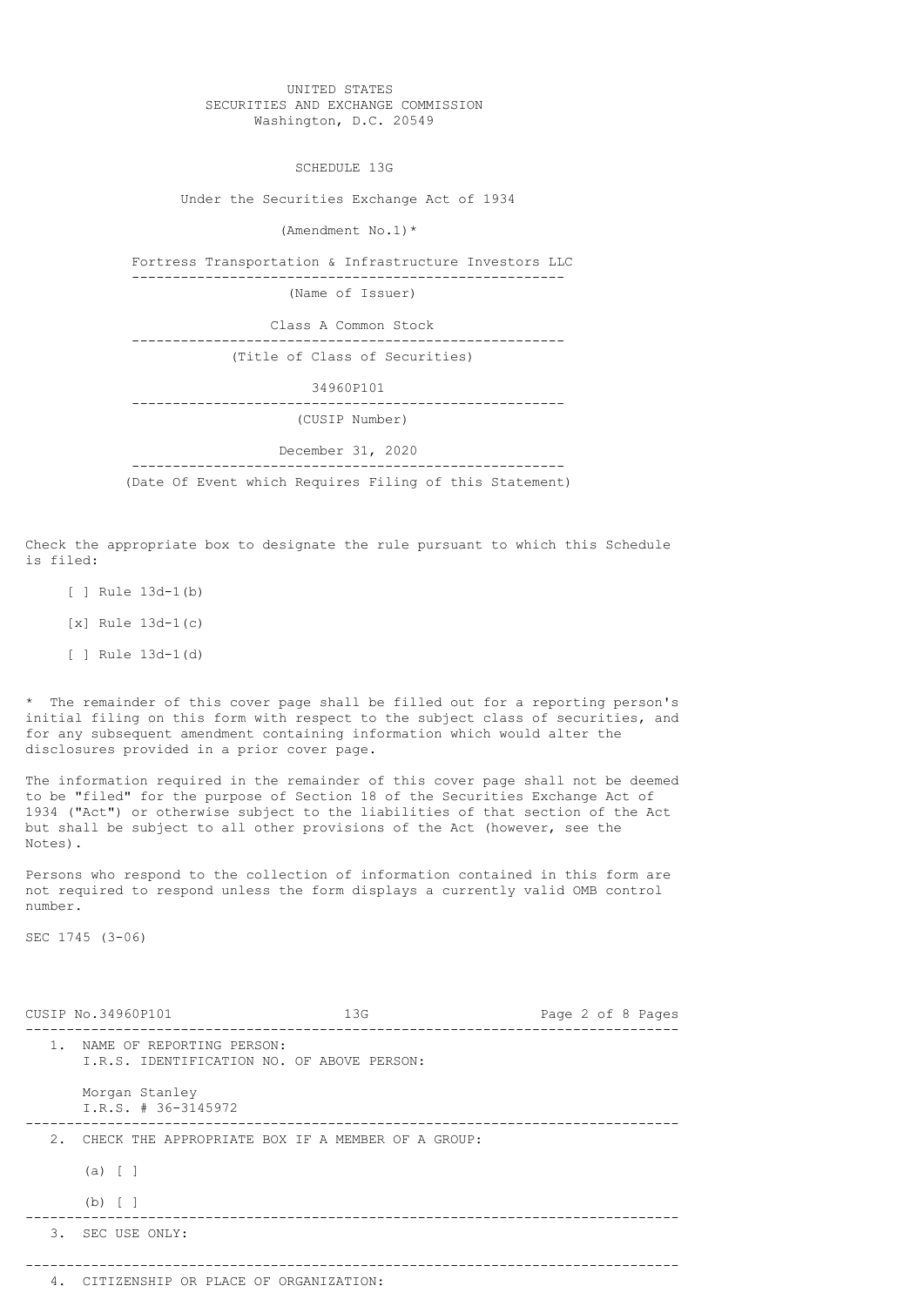## UNITED STATES SECURITIES AND EXCHANGE COMMISSION Washington, D.C. 20549

SCHEDULE 13G

Under the Securities Exchange Act of 1934

(Amendment No.1)\*

 Fortress Transportation & Infrastructure Investors LLC -----------------------------------------------------

(Name of Issuer)

Class A Common Stock

 ----------------------------------------------------- (Title of Class of Securities)

 34960P101 ----------------------------------------------------- (CUSIP Number)

December 31, 2020

 ----------------------------------------------------- (Date Of Event which Requires Filing of this Statement)

Check the appropriate box to designate the rule pursuant to which this Schedule is filed:

- [ ] Rule  $13d-1(b)$
- [x] Rule 13d-1(c)
- [ ] Rule 13d-1(d)

\* The remainder of this cover page shall be filled out for a reporting person's initial filing on this form with respect to the subject class of securities, and for any subsequent amendment containing information which would alter the disclosures provided in a prior cover page.

The information required in the remainder of this cover page shall not be deemed to be "filed" for the purpose of Section 18 of the Securities Exchange Act of 1934 ("Act") or otherwise subject to the liabilities of that section of the Act but shall be subject to all other provisions of the Act (however, see the Notes).

Persons who respond to the collection of information contained in this form are not required to respond unless the form displays a currently valid OMB control number.

SEC 1745 (3-06)

|       | CUSIP No.34960P101                                                      | 13G | Page 2 of 8 Pages |
|-------|-------------------------------------------------------------------------|-----|-------------------|
| $1$ . | NAME OF REPORTING PERSON:<br>I.R.S. IDENTIFICATION NO. OF ABOVE PERSON: |     |                   |
|       | Morgan Stanley<br>I.R.S. # 36-3145972                                   |     |                   |
|       | 2. CHECK THE APPROPRIATE BOX IF A MEMBER OF A GROUP:                    |     |                   |
|       | $(a) \mid \cdot \mid$                                                   |     |                   |
|       | $(b)$ $\lceil$ $\rceil$                                                 |     |                   |
|       | 3. SEC USE ONLY:                                                        |     |                   |
|       | 4. CITIZENSHIP OR PLACE OF ORGANIZATION:                                |     |                   |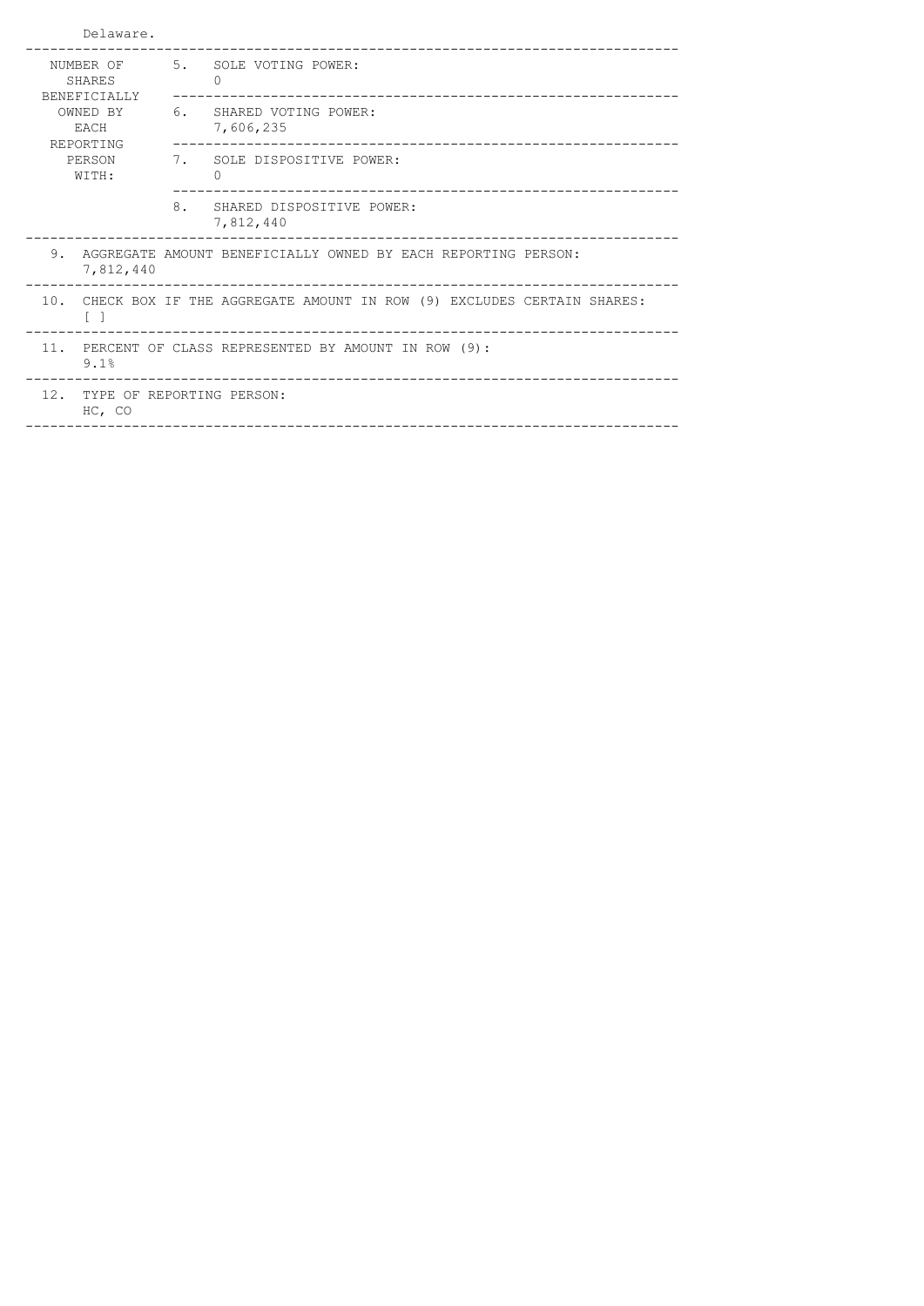| Delaware.                            |                               |                                                                           |  |
|--------------------------------------|-------------------------------|---------------------------------------------------------------------------|--|
| <b>SHARES</b><br><b>BENEFICIALLY</b> |                               | NUMBER OF 5. SOLE VOTING POWER:<br>$\bigcap$                              |  |
| OWNED BY<br>EACH<br>REPORTING        |                               | 6. SHARED VOTING POWER:<br>7,606,235                                      |  |
| PERSON<br>WITH:                      |                               | 7. SOLE DISPOSITIVE POWER:<br>$\Omega$                                    |  |
|                                      |                               | 8. SHARED DISPOSITIVE POWER:<br>7,812,440                                 |  |
| 7,812,440                            |                               | 9. AGGREGATE AMOUNT BENEFICIALLY OWNED BY EACH REPORTING PERSON:          |  |
| $\begin{bmatrix} 1 \end{bmatrix}$    |                               | 10. CHECK BOX IF THE AGGREGATE AMOUNT IN ROW (9) EXCLUDES CERTAIN SHARES: |  |
| 11.<br>9.1%                          |                               | PERCENT OF CLASS REPRESENTED BY AMOUNT IN ROW (9):                        |  |
| HC, CO                               | 12. TYPE OF REPORTING PERSON: |                                                                           |  |
|                                      |                               |                                                                           |  |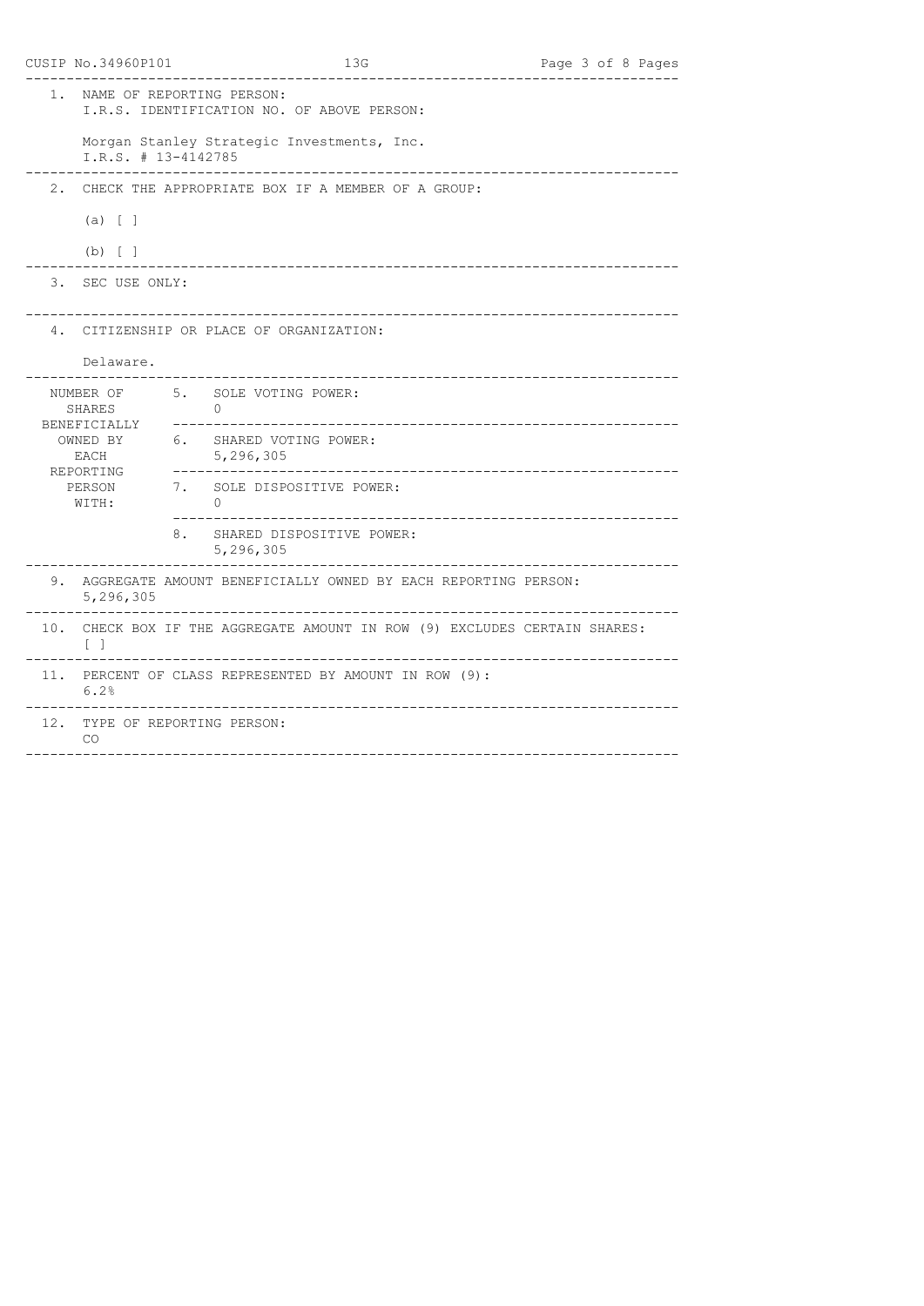|       | CUSIP No.34960P101                                                      |                             | 13G                                                                       |                                 | Page 3 of 8 Pages     |  |
|-------|-------------------------------------------------------------------------|-----------------------------|---------------------------------------------------------------------------|---------------------------------|-----------------------|--|
| $1$ . | NAME OF REPORTING PERSON:<br>I.R.S. IDENTIFICATION NO. OF ABOVE PERSON: |                             |                                                                           |                                 |                       |  |
|       | I.R.S. # 13-4142785                                                     |                             | Morgan Stanley Strategic Investments, Inc.                                | ____________________            |                       |  |
| 2.    |                                                                         |                             | CHECK THE APPROPRIATE BOX IF A MEMBER OF A GROUP:                         |                                 |                       |  |
|       | (a) [ ]                                                                 |                             |                                                                           |                                 |                       |  |
|       | (b) [ ]                                                                 |                             |                                                                           |                                 |                       |  |
|       | 3. SEC USE ONLY:                                                        |                             |                                                                           |                                 |                       |  |
|       |                                                                         |                             | 4. CITIZENSHIP OR PLACE OF ORGANIZATION:                                  |                                 |                       |  |
|       | Delaware.                                                               |                             |                                                                           | _______________________________ |                       |  |
|       | NUMBER OF<br>SHARES<br>BENEFICIALLY                                     | $\Omega$<br>_______________ | 5. SOLE VOTING POWER:                                                     |                                 |                       |  |
|       | OWNED BY<br>EACH<br>REPORTING                                           | 5,296,305                   | 6. SHARED VOTING POWER:<br>--------------------------                     | _______________________________ |                       |  |
|       | PERSON<br>WITH:                                                         | $\cap$                      | 7. SOLE DISPOSITIVE POWER:                                                |                                 |                       |  |
|       |                                                                         | 5,296,305                   | 8. SHARED DISPOSITIVE POWER:                                              |                                 |                       |  |
|       | 5,296,305                                                               |                             | 9. AGGREGATE AMOUNT BENEFICIALLY OWNED BY EACH REPORTING PERSON:          |                                 |                       |  |
|       | $\lceil$ 1                                                              |                             | 10. CHECK BOX IF THE AGGREGATE AMOUNT IN ROW (9) EXCLUDES CERTAIN SHARES: |                                 | _____________________ |  |
|       | 6.2%                                                                    |                             | 11. PERCENT OF CLASS REPRESENTED BY AMOUNT IN ROW (9):                    |                                 |                       |  |
|       | 12. TYPE OF REPORTING PERSON:<br><b>CO</b>                              |                             |                                                                           |                                 |                       |  |
|       |                                                                         |                             |                                                                           |                                 |                       |  |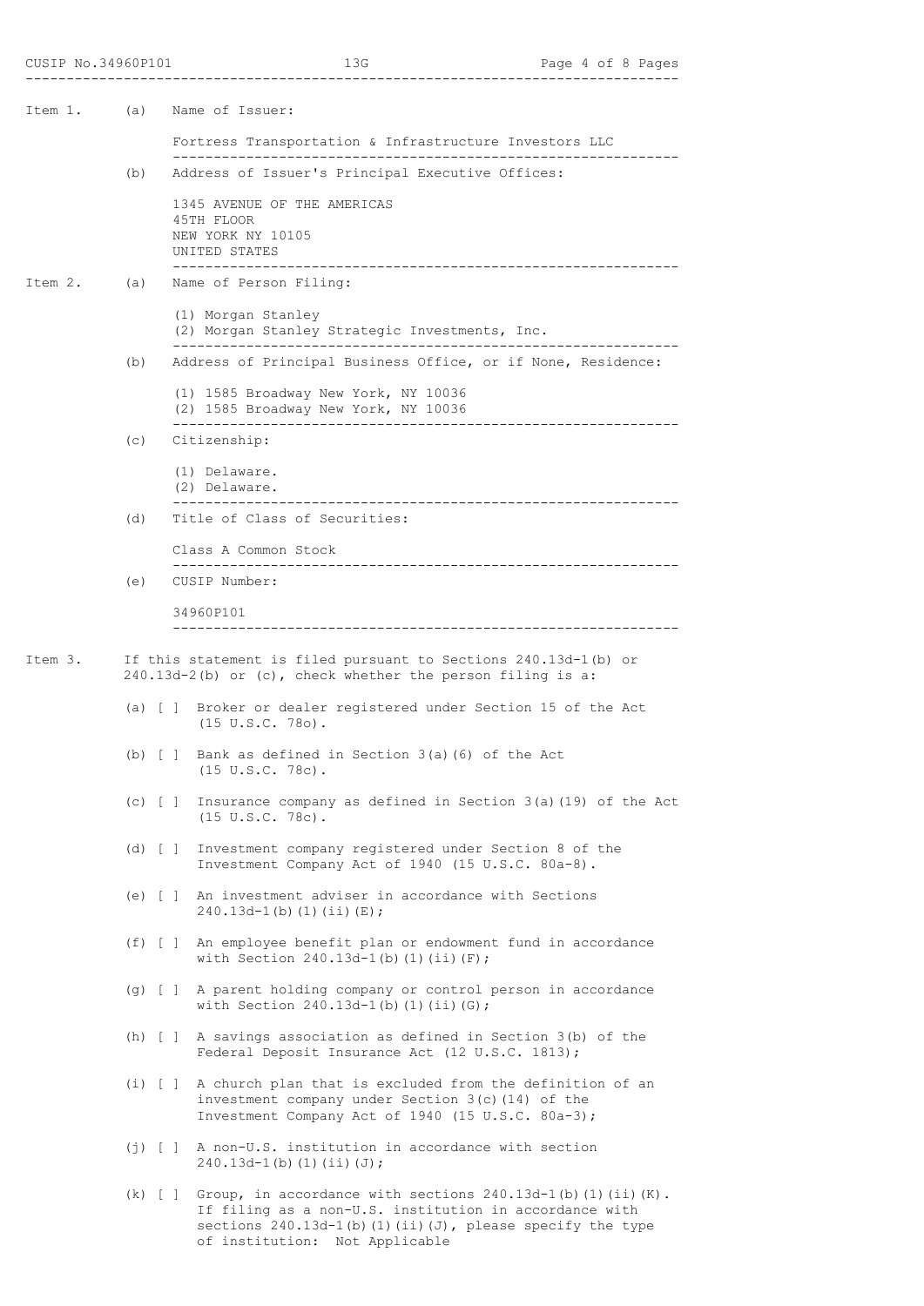Item 1. (a) Name of Issuer: Fortress Transportation & Infrastructure Investors LLC -------------------------------------------------------------- (b) Address of Issuer's Principal Executive Offices: 1345 AVENUE OF THE AMERICAS 45TH FLOOR NEW YORK NY 10105 UNITED STATES -------------------------------------------------------------- Item 2. (a) Name of Person Filing: (1) Morgan Stanley (2) Morgan Stanley Strategic Investments, Inc. -------------------------------------------------------------- (b) Address of Principal Business Office, or if None, Residence: (1) 1585 Broadway New York, NY 10036 (2) 1585 Broadway New York, NY 10036 -------------------------------------------------------------- (c) Citizenship: (1) Delaware. (2) Delaware. -------------------------------------------------------------- (d) Title of Class of Securities: Class A Common Stock -------------------------------------------------------------- (e) CUSIP Number: 34960P101 -------------------------------------------------------------- Item 3. If this statement is filed pursuant to Sections 240.13d-1(b) or 240.13d-2(b) or (c), check whether the person filing is a: (a) [ ] Broker or dealer registered under Section 15 of the Act (15 U.S.C. 78o). (b) [ ] Bank as defined in Section 3(a)(6) of the Act (15 U.S.C. 78c). (c) [ ] Insurance company as defined in Section 3(a)(19) of the Act (15 U.S.C. 78c). (d) [ ] Investment company registered under Section 8 of the Investment Company Act of 1940 (15 U.S.C. 80a-8). (e) [ ] An investment adviser in accordance with Sections  $240.13d-1(b)(1)(ii)(E);$  (f) [ ] An employee benefit plan or endowment fund in accordance with Section  $240.13d-1$ (b)(1)(ii)(F); (g) [ ] A parent holding company or control person in accordance with Section  $240.13d-1$ (b)(1)(ii)(G); (h) [ ] A savings association as defined in Section 3(b) of the Federal Deposit Insurance Act (12 U.S.C. 1813); (i) [ ] A church plan that is excluded from the definition of an investment company under Section 3(c)(14) of the Investment Company Act of 1940 (15 U.S.C. 80a-3); (j) [ ] A non-U.S. institution in accordance with section  $240.13d-1(b)(1)(ii)(J);$ (k) [ ] Group, in accordance with sections  $240.13d-1(b)$  (1)(ii)(K).

 If filing as a non-U.S. institution in accordance with sections  $240.13d-1$ (b)(1)(ii)(J), please specify the type of institution: Not Applicable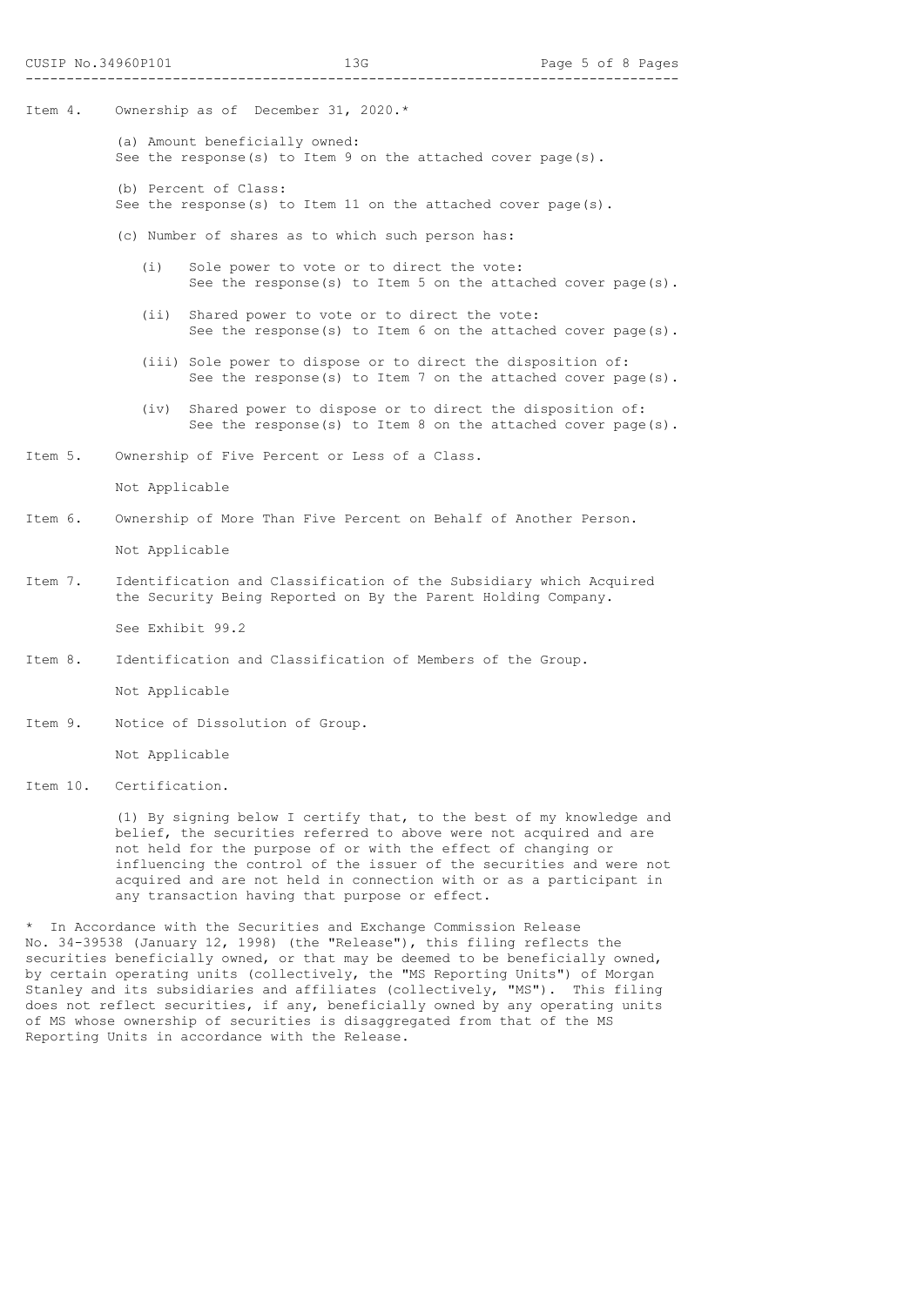- Item 4. Ownership as of December 31, 2020.\*
	- (a) Amount beneficially owned: See the response(s) to Item 9 on the attached cover page(s).
	- (b) Percent of Class: See the response(s) to Item 11 on the attached cover page(s).
	- (c) Number of shares as to which such person has:
		- (i) Sole power to vote or to direct the vote: See the response(s) to Item 5 on the attached cover page(s).
		- (ii) Shared power to vote or to direct the vote: See the response(s) to Item 6 on the attached cover page(s).
		- (iii) Sole power to dispose or to direct the disposition of: See the response(s) to Item 7 on the attached cover page(s).
		- (iv) Shared power to dispose or to direct the disposition of: See the response(s) to Item 8 on the attached cover page(s).
- Item 5. Ownership of Five Percent or Less of a Class.

Not Applicable

Item 6. Ownership of More Than Five Percent on Behalf of Another Person.

Not Applicable

Item 7. Identification and Classification of the Subsidiary which Acquired the Security Being Reported on By the Parent Holding Company.

See Exhibit 99.2

Item 8. Identification and Classification of Members of the Group.

Not Applicable

Item 9. Notice of Dissolution of Group.

Not Applicable

Item 10. Certification.

 (1) By signing below I certify that, to the best of my knowledge and belief, the securities referred to above were not acquired and are not held for the purpose of or with the effect of changing or influencing the control of the issuer of the securities and were not acquired and are not held in connection with or as a participant in any transaction having that purpose or effect.

\* In Accordance with the Securities and Exchange Commission Release No. 34-39538 (January 12, 1998) (the "Release"), this filing reflects the securities beneficially owned, or that may be deemed to be beneficially owned, by certain operating units (collectively, the "MS Reporting Units") of Morgan Stanley and its subsidiaries and affiliates (collectively, "MS"). This filing does not reflect securities, if any, beneficially owned by any operating units of MS whose ownership of securities is disaggregated from that of the MS Reporting Units in accordance with the Release.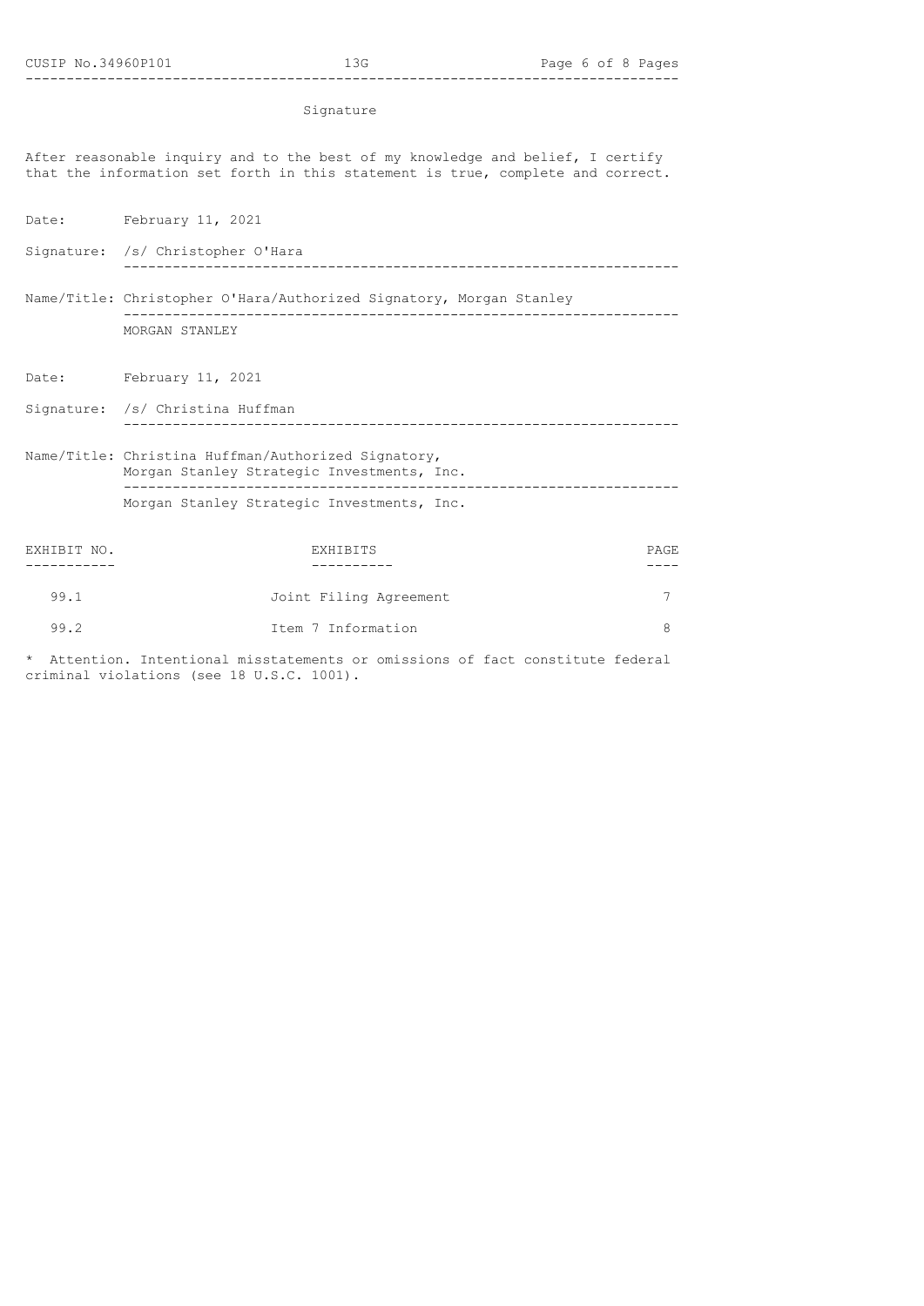## Signature

After reasonable inquiry and to the best of my knowledge and belief, I certify that the information set forth in this statement is true, complete and correct.

Date: February 11, 2021

Signature: /s/ Christopher O'Hara --------------------------------------------------------------------

- Name/Title: Christopher O'Hara/Authorized Signatory, Morgan Stanley -------------------------------------------------------------------- MORGAN STANLEY
- Date: February 11, 2021

Signature: /s/ Christina Huffman --------------------------------------------------------------------

Name/Title: Christina Huffman/Authorized Signatory, Morgan Stanley Strategic Investments, Inc. -------------------------------------------------------------------- Morgan Stanley Strategic Investments, Inc.

| EXHIBIT NO. | EXHIBITS               | PAGE |
|-------------|------------------------|------|
|             |                        |      |
| 99.1        | Joint Filing Agreement |      |
| 99.2        | Item 7 Information     |      |

\* Attention. Intentional misstatements or omissions of fact constitute federal criminal violations (see 18 U.S.C. 1001).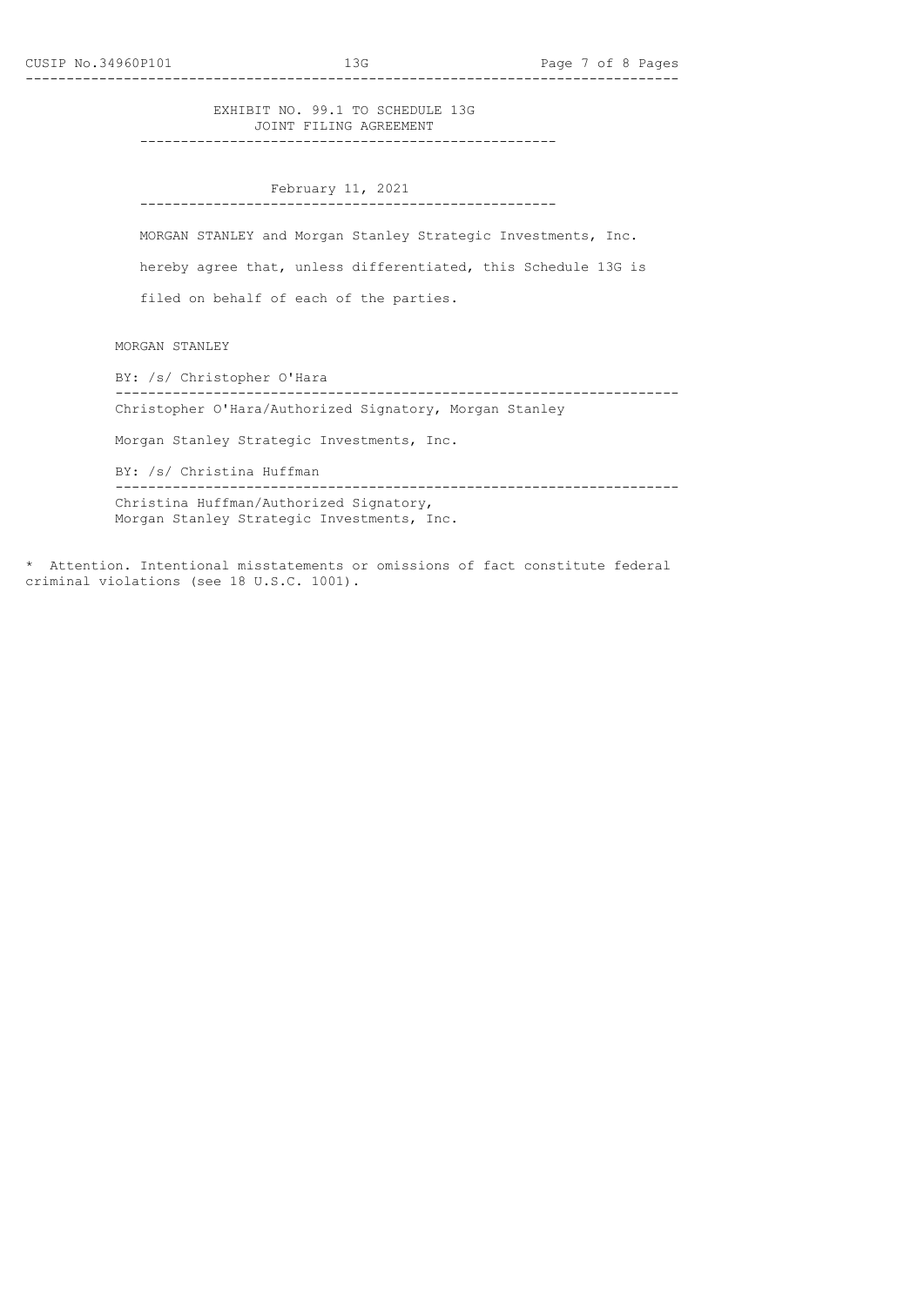EXHIBIT NO. 99.1 TO SCHEDULE 13G JOINT FILING AGREEMENT

---------------------------------------------------

 February 11, 2021 ---------------------------------------------------

 MORGAN STANLEY and Morgan Stanley Strategic Investments, Inc. hereby agree that, unless differentiated, this Schedule 13G is filed on behalf of each of the parties.

MORGAN STANLEY

 BY: /s/ Christopher O'Hara --------------------------------------------------------------------- Christopher O'Hara/Authorized Signatory, Morgan Stanley

Morgan Stanley Strategic Investments, Inc.

 BY: /s/ Christina Huffman --------------------------------------------------------------------- Christina Huffman/Authorized Signatory, Morgan Stanley Strategic Investments, Inc.

\* Attention. Intentional misstatements or omissions of fact constitute federal criminal violations (see 18 U.S.C. 1001).